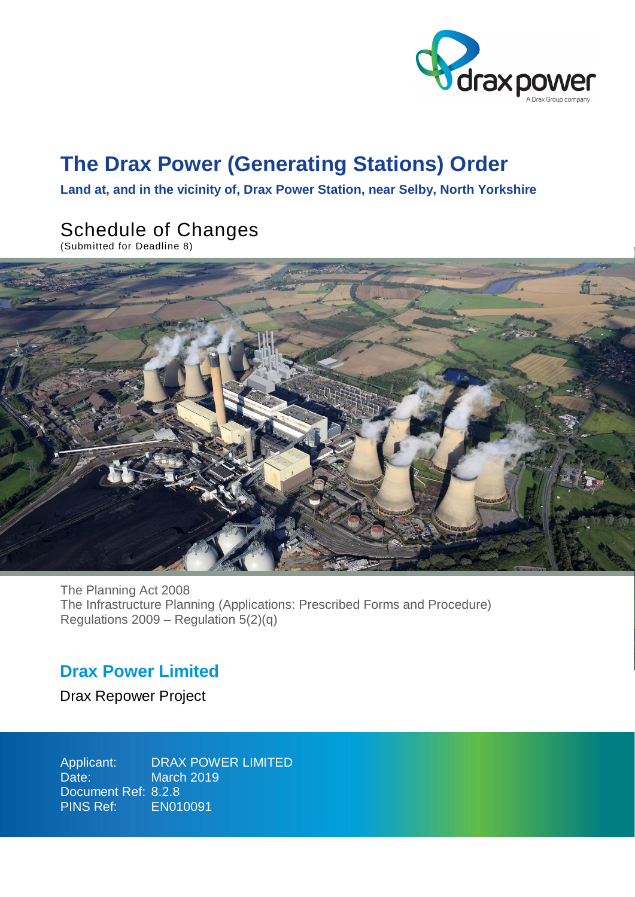

# **The Drax Power (Generating Stations) Order**

**Land at, and in the vicinity of, Drax Power Station, near Selby, North Yorkshire**

# Schedule of Changes

(Submitted for Deadline 8)



The Planning Act 2008 The Infrastructure Planning (Applications: Prescribed Forms and Procedure) Regulations 2009 – Regulation 5(2)(q)

## **Drax Power Limited**

Drax Repower Project

Applicant: Date: Document Ref: 8.2.8 PINS Ref: DRAX POWER LIMITED March 2019 EN010091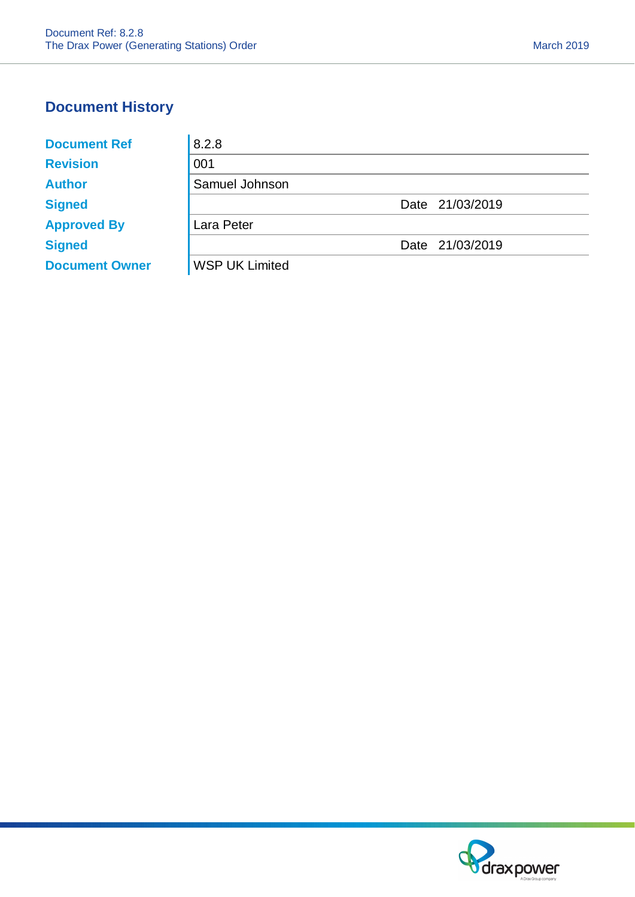## **Document History**

| <b>Document Ref</b>   | 8.2.8                 |                 |
|-----------------------|-----------------------|-----------------|
| <b>Revision</b>       | 001                   |                 |
| <b>Author</b>         | Samuel Johnson        |                 |
| <b>Signed</b>         |                       | Date 21/03/2019 |
| <b>Approved By</b>    | Lara Peter            |                 |
| <b>Signed</b>         |                       | Date 21/03/2019 |
| <b>Document Owner</b> | <b>WSP UK Limited</b> |                 |

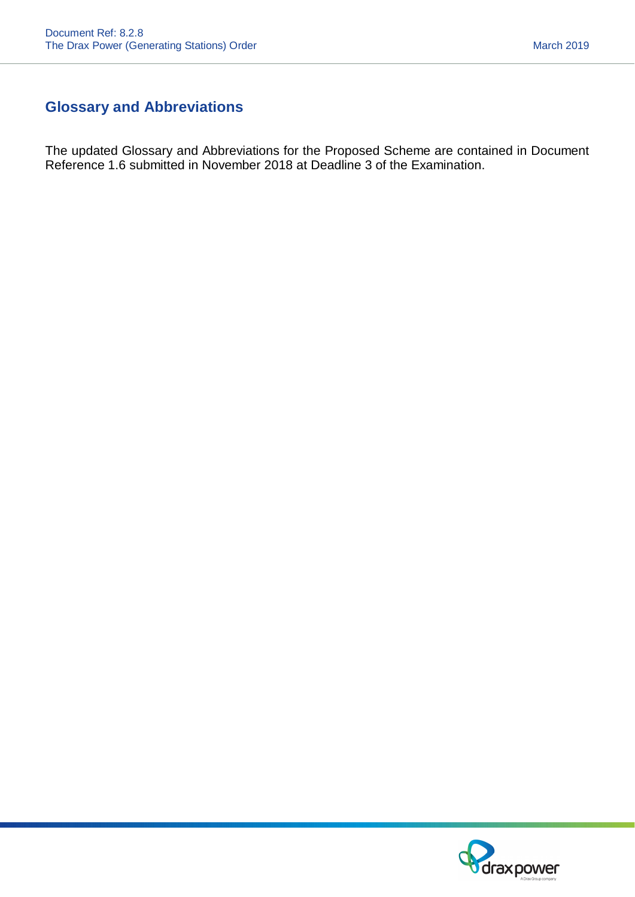## **Glossary and Abbreviations**

The updated Glossary and Abbreviations for the Proposed Scheme are contained in Document Reference 1.6 submitted in November 2018 at Deadline 3 of the Examination.

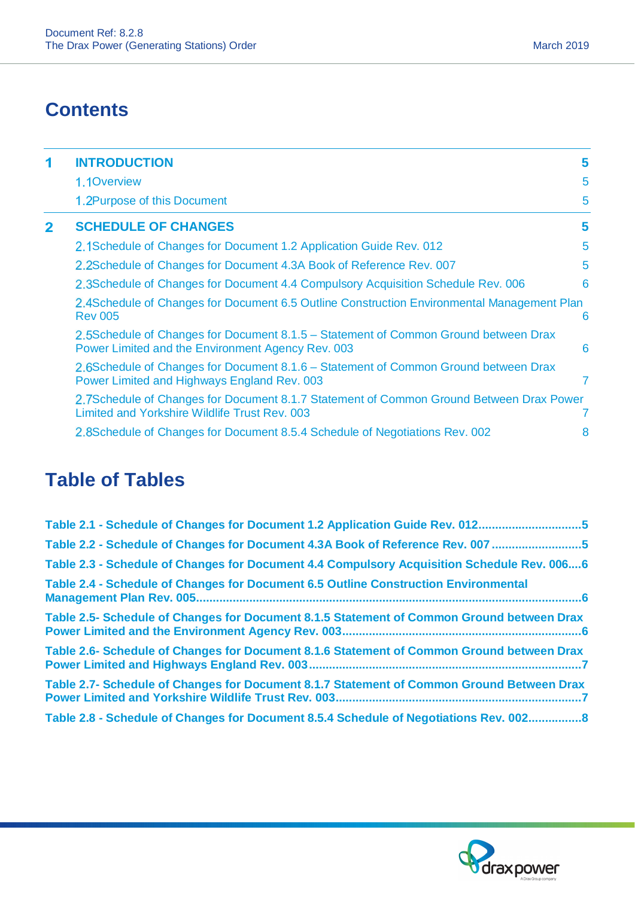## **Contents**

| 1            | <b>INTRODUCTION</b>                                                                                                                      | 5 |
|--------------|------------------------------------------------------------------------------------------------------------------------------------------|---|
|              | 1.1Overview                                                                                                                              | 5 |
|              | 1.2Purpose of this Document                                                                                                              | 5 |
| $\mathbf{2}$ | <b>SCHEDULE OF CHANGES</b>                                                                                                               | 5 |
|              | 2.1Schedule of Changes for Document 1.2 Application Guide Rev. 012                                                                       | 5 |
|              | 2.2Schedule of Changes for Document 4.3A Book of Reference Rev. 007                                                                      | 5 |
|              | 2.3 Schedule of Changes for Document 4.4 Compulsory Acquisition Schedule Rev. 006                                                        | 6 |
|              | 2.4Schedule of Changes for Document 6.5 Outline Construction Environmental Management Plan<br><b>Rev 005</b>                             | 6 |
|              | 2.5Schedule of Changes for Document 8.1.5 – Statement of Common Ground between Drax<br>Power Limited and the Environment Agency Rev. 003 | 6 |
|              | 2.6Schedule of Changes for Document 8.1.6 – Statement of Common Ground between Drax<br>Power Limited and Highways England Rev. 003       | 7 |
|              | 2.7Schedule of Changes for Document 8.1.7 Statement of Common Ground Between Drax Power<br>Limited and Yorkshire Wildlife Trust Rev. 003 |   |
|              | 2.8 Schedule of Changes for Document 8.5.4 Schedule of Negotiations Rev. 002                                                             | 8 |

# **Table of Tables**

| Table 2.1 - Schedule of Changes for Document 1.2 Application Guide Rev. 0125               |
|--------------------------------------------------------------------------------------------|
| Table 2.2 - Schedule of Changes for Document 4.3A Book of Reference Rev. 007 5             |
| Table 2.3 - Schedule of Changes for Document 4.4 Compulsory Acquisition Schedule Rev. 0066 |
| Table 2.4 - Schedule of Changes for Document 6.5 Outline Construction Environmental        |
| Table 2.5- Schedule of Changes for Document 8.1.5 Statement of Common Ground between Drax  |
| Table 2.6- Schedule of Changes for Document 8.1.6 Statement of Common Ground between Drax  |
| Table 2.7- Schedule of Changes for Document 8.1.7 Statement of Common Ground Between Drax  |
| Table 2.8 - Schedule of Changes for Document 8.5.4 Schedule of Negotiations Rev. 002 8     |

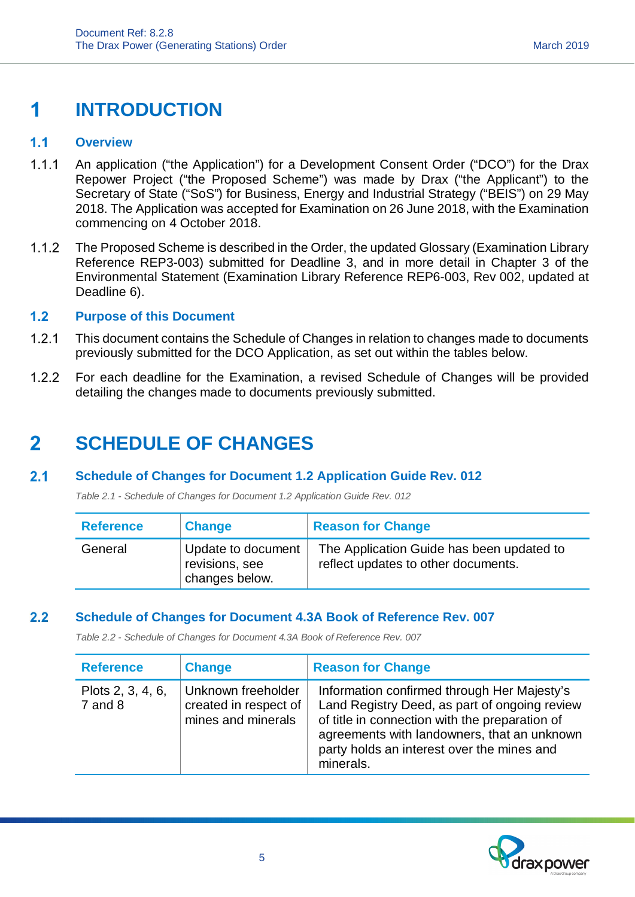## **INTRODUCTION** 1

#### $1.1$ **Overview**

- 1.1.1 An application ("the Application") for a Development Consent Order ("DCO") for the Drax Repower Project ("the Proposed Scheme") was made by Drax ("the Applicant") to the Secretary of State ("SoS") for Business, Energy and Industrial Strategy ("BEIS") on 29 May 2018. The Application was accepted for Examination on 26 June 2018, with the Examination commencing on 4 October 2018.
- 1.1.2 The Proposed Scheme is described in the Order, the updated Glossary (Examination Library Reference REP3-003) submitted for Deadline 3, and in more detail in Chapter 3 of the Environmental Statement (Examination Library Reference REP6-003, Rev 002, updated at Deadline 6).

#### $1.2$ **Purpose of this Document**

- This document contains the Schedule of Changes in relation to changes made to documents previously submitted for the DCO Application, as set out within the tables below.
- For each deadline for the Examination, a revised Schedule of Changes will be provided detailing the changes made to documents previously submitted.

## $\overline{\mathbf{2}}$ **SCHEDULE OF CHANGES**

#### $2.1$ **Schedule of Changes for Document 1.2 Application Guide Rev. 012**

*Table 2.1 - Schedule of Changes for Document 1.2 Application Guide Rev. 012*

| <b>Reference</b> | <b>Change</b>                                          | <b>Reason for Change</b>                                                         |
|------------------|--------------------------------------------------------|----------------------------------------------------------------------------------|
| General          | Update to document<br>revisions, see<br>changes below. | The Application Guide has been updated to<br>reflect updates to other documents. |

#### $2.2$ **Schedule of Changes for Document 4.3A Book of Reference Rev. 007**

*Table 2.2 - Schedule of Changes for Document 4.3A Book of Reference Rev. 007*

| <b>Reference</b>                 | <b>Change</b>                                                     | <b>Reason for Change</b>                                                                                                                                                                                                                                 |
|----------------------------------|-------------------------------------------------------------------|----------------------------------------------------------------------------------------------------------------------------------------------------------------------------------------------------------------------------------------------------------|
| Plots 2, 3, 4, 6,<br>$7$ and $8$ | Unknown freeholder<br>created in respect of<br>mines and minerals | Information confirmed through Her Majesty's<br>Land Registry Deed, as part of ongoing review<br>of title in connection with the preparation of<br>agreements with landowners, that an unknown<br>party holds an interest over the mines and<br>minerals. |

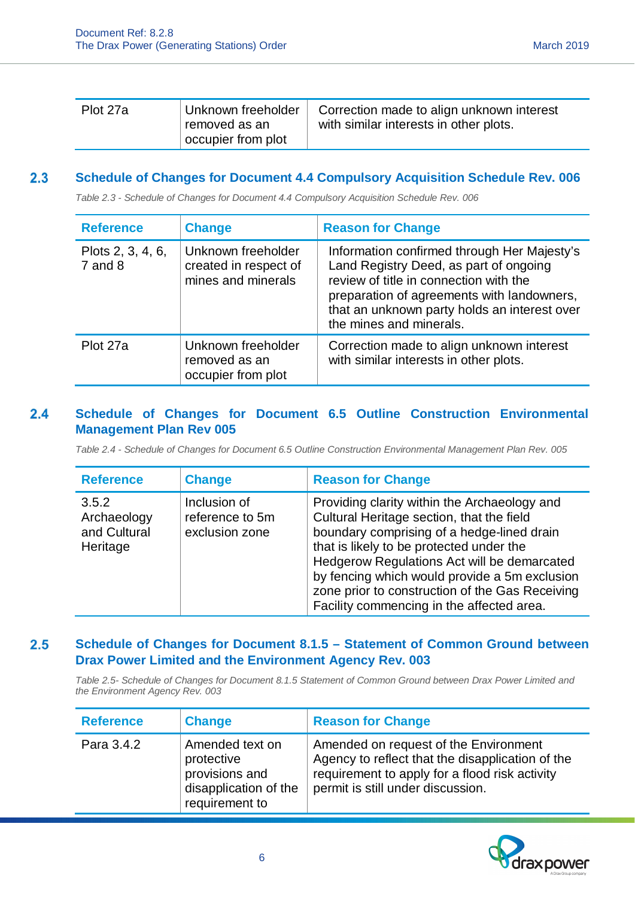| Plot 27a | Unknown freeholder<br>removed as an | Correction made to align unknown interest<br>with similar interests in other plots. |
|----------|-------------------------------------|-------------------------------------------------------------------------------------|
|          | occupier from plot                  |                                                                                     |

#### $2.3$ **Schedule of Changes for Document 4.4 Compulsory Acquisition Schedule Rev. 006**

*Table 2.3 - Schedule of Changes for Document 4.4 Compulsory Acquisition Schedule Rev. 006*

| <b>Reference</b>                 | <b>Change</b>                                                     | <b>Reason for Change</b>                                                                                                                                                                                                                                 |
|----------------------------------|-------------------------------------------------------------------|----------------------------------------------------------------------------------------------------------------------------------------------------------------------------------------------------------------------------------------------------------|
| Plots 2, 3, 4, 6,<br>$7$ and $8$ | Unknown freeholder<br>created in respect of<br>mines and minerals | Information confirmed through Her Majesty's<br>Land Registry Deed, as part of ongoing<br>review of title in connection with the<br>preparation of agreements with landowners,<br>that an unknown party holds an interest over<br>the mines and minerals. |
| Plot 27a                         | Unknown freeholder<br>removed as an<br>occupier from plot         | Correction made to align unknown interest<br>with similar interests in other plots.                                                                                                                                                                      |

### $2.4$ **Schedule of Changes for Document 6.5 Outline Construction Environmental Management Plan Rev 005**

*Table 2.4 - Schedule of Changes for Document 6.5 Outline Construction Environmental Management Plan Rev. 005*

| <b>Reference</b>                                 | <b>Change</b>                                     | <b>Reason for Change</b>                                                                                                                                                                                                                                                                                                                                                            |
|--------------------------------------------------|---------------------------------------------------|-------------------------------------------------------------------------------------------------------------------------------------------------------------------------------------------------------------------------------------------------------------------------------------------------------------------------------------------------------------------------------------|
| 3.5.2<br>Archaeology<br>and Cultural<br>Heritage | Inclusion of<br>reference to 5m<br>exclusion zone | Providing clarity within the Archaeology and<br>Cultural Heritage section, that the field<br>boundary comprising of a hedge-lined drain<br>that is likely to be protected under the<br>Hedgerow Regulations Act will be demarcated<br>by fencing which would provide a 5m exclusion<br>zone prior to construction of the Gas Receiving<br>Facility commencing in the affected area. |

### $2.5$ **Schedule of Changes for Document 8.1.5 – Statement of Common Ground between Drax Power Limited and the Environment Agency Rev. 003**

*Table 2.5- Schedule of Changes for Document 8.1.5 Statement of Common Ground between Drax Power Limited and the Environment Agency Rev. 003*

| <b>Reference</b> | <b>Change</b>                                                                              | <b>Reason for Change</b>                                                                                                                                                         |
|------------------|--------------------------------------------------------------------------------------------|----------------------------------------------------------------------------------------------------------------------------------------------------------------------------------|
| Para 3.4.2       | Amended text on<br>protective<br>provisions and<br>disapplication of the<br>requirement to | Amended on request of the Environment<br>Agency to reflect that the disapplication of the<br>requirement to apply for a flood risk activity<br>permit is still under discussion. |

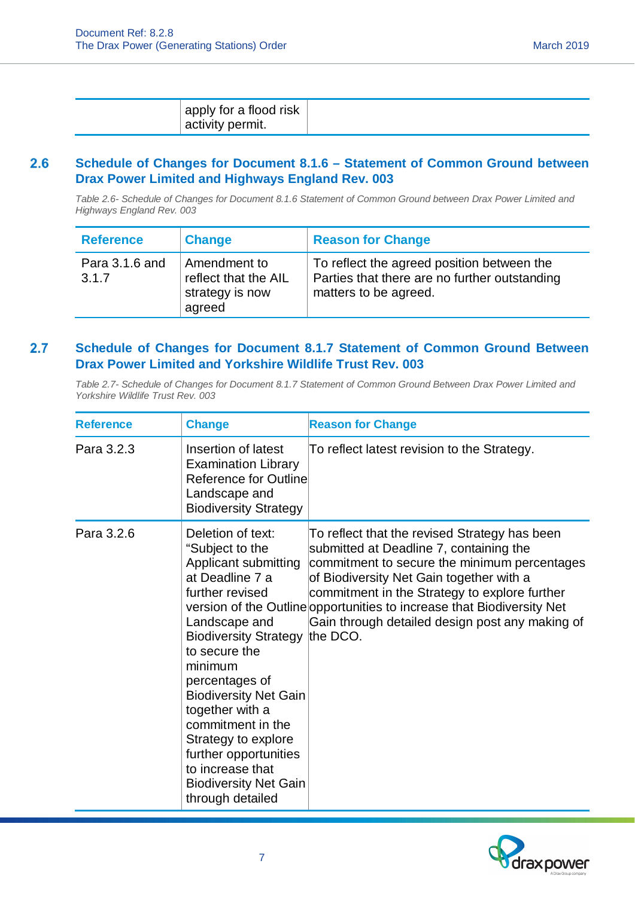|--|

### **Schedule of Changes for Document 8.1.6 – Statement of Common Ground between**  $2.6$ **Drax Power Limited and Highways England Rev. 003**

*Table 2.6- Schedule of Changes for Document 8.1.6 Statement of Common Ground between Drax Power Limited and Highways England Rev. 003*

| <b>Reference</b>        | <b>Change</b>                                                     | <b>Reason for Change</b>                                                                                             |
|-------------------------|-------------------------------------------------------------------|----------------------------------------------------------------------------------------------------------------------|
| Para 3.1.6 and<br>3.1.7 | Amendment to<br>reflect that the AIL<br>strategy is now<br>agreed | To reflect the agreed position between the<br>Parties that there are no further outstanding<br>matters to be agreed. |

### $2.7$ **Schedule of Changes for Document 8.1.7 Statement of Common Ground Between Drax Power Limited and Yorkshire Wildlife Trust Rev. 003**

*Table 2.7- Schedule of Changes for Document 8.1.7 Statement of Common Ground Between Drax Power Limited and Yorkshire Wildlife Trust Rev. 003*

| <b>Reference</b> | <b>Change</b>                                                                                                                                                                                                                                                                                                                                                                                       | <b>Reason for Change</b>                                                                                                                                                                                                                                                                                                                                           |
|------------------|-----------------------------------------------------------------------------------------------------------------------------------------------------------------------------------------------------------------------------------------------------------------------------------------------------------------------------------------------------------------------------------------------------|--------------------------------------------------------------------------------------------------------------------------------------------------------------------------------------------------------------------------------------------------------------------------------------------------------------------------------------------------------------------|
| Para 3.2.3       | Insertion of latest<br><b>Examination Library</b><br>Reference for Outline<br>Landscape and<br><b>Biodiversity Strategy</b>                                                                                                                                                                                                                                                                         | To reflect latest revision to the Strategy.                                                                                                                                                                                                                                                                                                                        |
| Para 3.2.6       | Deletion of text:<br>"Subject to the<br>Applicant submitting<br>at Deadline 7 a<br>further revised<br>Landscape and<br>Biodiversity Strategy the DCO.<br>to secure the<br>minimum<br>percentages of<br><b>Biodiversity Net Gain</b><br>together with a<br>commitment in the<br>Strategy to explore<br>further opportunities<br>to increase that<br><b>Biodiversity Net Gain</b><br>through detailed | To reflect that the revised Strategy has been<br>submitted at Deadline 7, containing the<br>commitment to secure the minimum percentages<br>of Biodiversity Net Gain together with a<br>commitment in the Strategy to explore further<br>version of the Outline opportunities to increase that Biodiversity Net<br>Gain through detailed design post any making of |